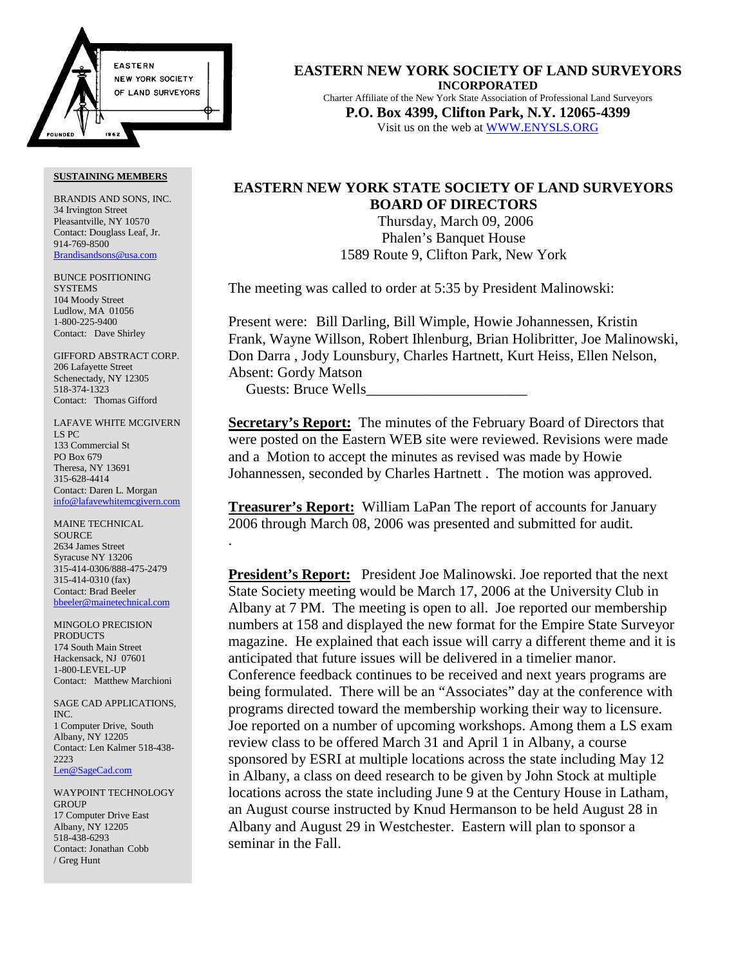

BRANDIS AND SONS, INC. 34 Irvington Street Pleasantville, NY 10570 Contact: Douglass Leaf, Jr. 914-769-8500 Brandisandsons@usa.com

BUNCE POSITIONING **SYSTEMS** 104 Moody Street Ludlow, MA 01056 1-800-225-9400 Contact: Dave Shirley

GIFFORD ABSTRACT CORP. 206 Lafayette Street Schenectady, NY 12305 518-374-1323 Contact: Thomas Gifford

LAFAVE WHITE MCGIVERN LS PC 133 Commercial St PO Box 679 Theresa, NY 13691 315-628-4414 Contact: Daren L. Morgan info@lafavewhitemcgivern.com

MAINE TECHNICAL **SOURCE** 2634 James Street Syracuse NY 13206 315-414-0306/888-475-2479 315-414-0310 (fax) Contact: Brad Beeler bbeeler@mainetechnical.com

MINGOLO PRECISION PRODUCTS 174 South Main Street Hackensack, NJ 07601 1-800-LEVEL-UP Contact: Matthew Marchioni

SAGE CAD APPLICATIONS, INC. 1 Computer Drive, South Albany, NY 12205 Contact: Len Kalmer 518-438- 2223 Len@SageCad.com

WAYPOINT TECHNOLOGY **GROUP** 17 Computer Drive East Albany, NY 12205 518-438-6293 Contact: Jonathan Cobb / Greg Hunt

**EASTERN NEW YORK SOCIETY OF LAND SURVEYORS INCORPORATED** Charter Affiliate of the New York State Association of Professional Land Surveyors **P.O. Box 4399, Clifton Park, N.Y. 12065-4399** Visit us on the web at WWW.ENYSLS.ORG

# **EASTERN NEW YORK STATE SOCIETY OF LAND SURVEYORS BOARD OF DIRECTORS**

 Thursday, March 09, 2006 Phalen's Banquet House 1589 Route 9, Clifton Park, New York

The meeting was called to order at 5:35 by President Malinowski:

Present were: Bill Darling, Bill Wimple, Howie Johannessen, Kristin Frank, Wayne Willson, Robert Ihlenburg, Brian Holibritter, Joe Malinowski, Don Darra , Jody Lounsbury, Charles Hartnett, Kurt Heiss, Ellen Nelson, Absent: Gordy Matson Guests: Bruce Wells\_\_\_\_\_\_\_\_\_\_\_\_\_\_\_\_\_\_\_\_\_\_

**Secretary's Report:** The minutes of the February Board of Directors that were posted on the Eastern WEB site were reviewed. Revisions were made and a Motion to accept the minutes as revised was made by Howie Johannessen, seconded by Charles Hartnett . The motion was approved.

**Treasurer's Report:** William LaPan The report of accounts for January 2006 through March 08, 2006 was presented and submitted for audit. .

**President's Report:** President Joe Malinowski. Joe reported that the next State Society meeting would be March 17, 2006 at the University Club in Albany at 7 PM. The meeting is open to all. Joe reported our membership numbers at 158 and displayed the new format for the Empire State Surveyor magazine. He explained that each issue will carry a different theme and it is anticipated that future issues will be delivered in a timelier manor. Conference feedback continues to be received and next years programs are being formulated. There will be an "Associates" day at the conference with programs directed toward the membership working their way to licensure. Joe reported on a number of upcoming workshops. Among them a LS exam review class to be offered March 31 and April 1 in Albany, a course sponsored by ESRI at multiple locations across the state including May 12 in Albany, a class on deed research to be given by John Stock at multiple locations across the state including June 9 at the Century House in Latham, an August course instructed by Knud Hermanson to be held August 28 in Albany and August 29 in Westchester. Eastern will plan to sponsor a seminar in the Fall.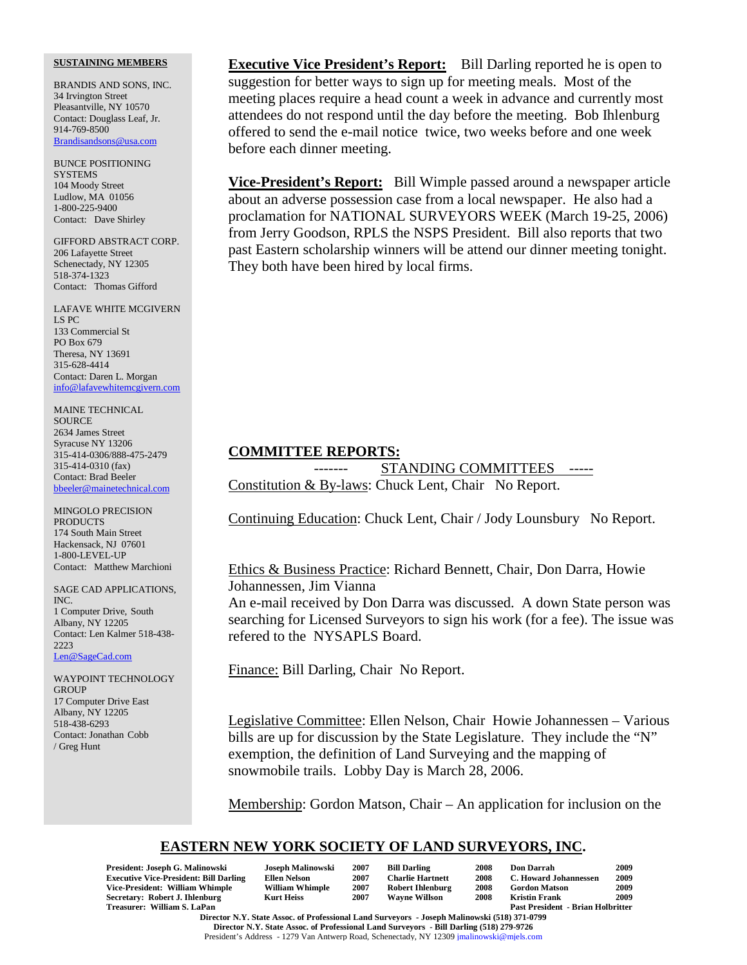BRANDIS AND SONS, INC. 34 Irvington Street Pleasantville, NY 10570 Contact: Douglass Leaf, Jr. 914-769-8500 Brandisandsons@usa.com

BUNCE POSITIONING **SYSTEMS** 104 Moody Street Ludlow, MA 01056 1-800-225-9400 Contact: Dave Shirley

GIFFORD ABSTRACT CORP. 206 Lafayette Street Schenectady, NY 12305 518-374-1323 Contact: Thomas Gifford

LAFAVE WHITE MCGIVERN LS PC 133 Commercial St PO Box 679 Theresa, NY 13691 315-628-4414 Contact: Daren L. Morgan info@lafavewhitemcgivern.com

MAINE TECHNICAL **SOURCE** 2634 James Street Syracuse NY 13206 315-414-0306/888-475-2479 315-414-0310 (fax) Contact: Brad Beeler bbeeler@mainetechnical.com

MINGOLO PRECISION PRODUCTS 174 South Main Street Hackensack, NJ 07601 1-800-LEVEL-UP Contact: Matthew Marchioni

SAGE CAD APPLICATIONS, INC. 1 Computer Drive, South Albany, NY 12205 Contact: Len Kalmer 518-438- 2223 Len@SageCad.com

WAYPOINT TECHNOLOGY **GROUP** 17 Computer Drive East Albany, NY 12205 518-438-6293 Contact: Jonathan Cobb / Greg Hunt

**Executive Vice President's Report:** Bill Darling reported he is open to suggestion for better ways to sign up for meeting meals. Most of the meeting places require a head count a week in advance and currently most attendees do not respond until the day before the meeting. Bob Ihlenburg offered to send the e-mail notice twice, two weeks before and one week before each dinner meeting.

**Vice-President's Report:** Bill Wimple passed around a newspaper article about an adverse possession case from a local newspaper. He also had a proclamation for NATIONAL SURVEYORS WEEK (March 19-25, 2006) from Jerry Goodson, RPLS the NSPS President. Bill also reports that two past Eastern scholarship winners will be attend our dinner meeting tonight. They both have been hired by local firms.

## **COMMITTEE REPORTS:**

STANDING COMMITTEES -----Constitution & By-laws: Chuck Lent, Chair No Report.

Continuing Education: Chuck Lent, Chair / Jody Lounsbury No Report.

# Ethics & Business Practice: Richard Bennett, Chair, Don Darra, Howie Johannessen, Jim Vianna

An e-mail received by Don Darra was discussed. A down State person was searching for Licensed Surveyors to sign his work (for a fee). The issue was refered to the NYSAPLS Board.

Finance: Bill Darling, Chair No Report.

Legislative Committee: Ellen Nelson, Chair Howie Johannessen – Various bills are up for discussion by the State Legislature. They include the "N" exemption, the definition of Land Surveying and the mapping of snowmobile trails. Lobby Day is March 28, 2006.

Membership: Gordon Matson, Chair – An application for inclusion on the

# **EASTERN NEW YORK SOCIETY OF LAND SURVEYORS, INC.**

| President: Joseph G. Malinowski                                                              | Joseph Malinowski      | 2007                                     | <b>Bill Darling</b>     | 2008 | <b>Don Darrah</b>     | 2009 |  |  |  |
|----------------------------------------------------------------------------------------------|------------------------|------------------------------------------|-------------------------|------|-----------------------|------|--|--|--|
| <b>Executive Vice-President: Bill Darling</b>                                                | Ellen Nelson           | 2007                                     | <b>Charlie Hartnett</b> | 2008 | C. Howard Johannessen | 2009 |  |  |  |
| Vice-President: William Whimple                                                              | <b>William Whimple</b> | 2007                                     | <b>Robert Ihlenburg</b> | 2008 | <b>Gordon Matson</b>  | 2009 |  |  |  |
| Secretary: Robert J. Ihlenburg                                                               | <b>Kurt Heiss</b>      | 2007                                     | <b>Wavne Willson</b>    | 2008 | Kristin Frank         | 2009 |  |  |  |
| Treasurer: William S. LaPan                                                                  |                        | <b>Past President - Brian Holbritter</b> |                         |      |                       |      |  |  |  |
| Director N.Y. State Assoc. of Professional Land Surveyors - Joseph Malinowski (518) 371-0799 |                        |                                          |                         |      |                       |      |  |  |  |

**Director N.Y. State Assoc. of Professional Land Surveyors - Bill Darling (518) 279-9726** President's Address - 1279 Van Antwerp Road, Schenectady, NY 12309 jmalinowski@mjels.com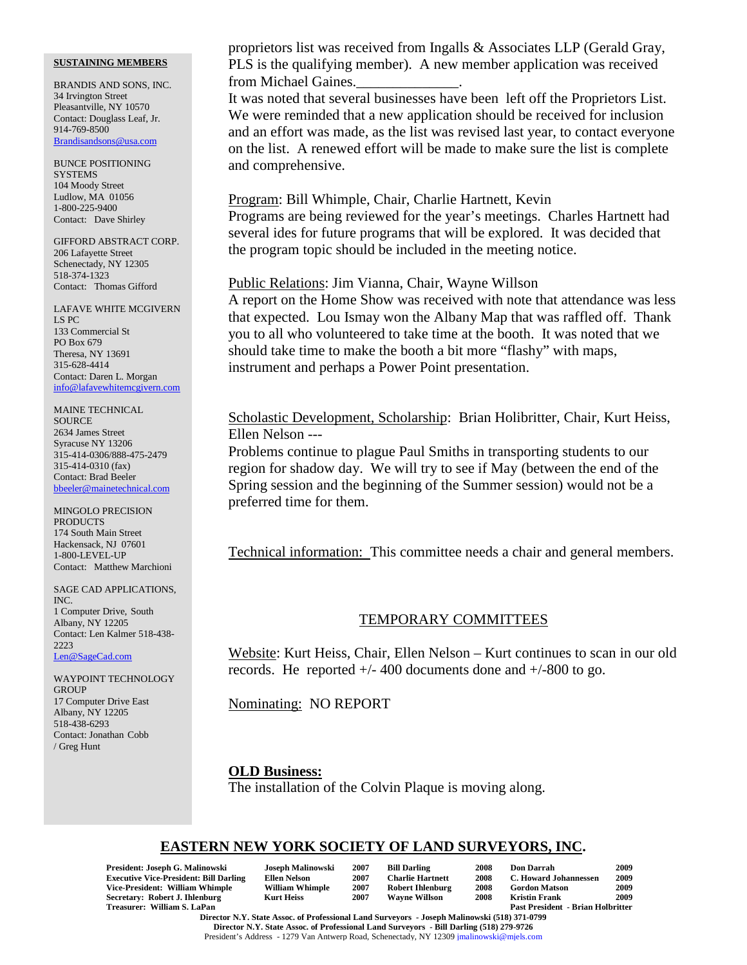BRANDIS AND SONS, INC. 34 Irvington Street Pleasantville, NY 10570 Contact: Douglass Leaf, Jr. 914-769-8500 Brandisandsons@usa.com

BUNCE POSITIONING **SYSTEMS** 104 Moody Street Ludlow, MA 01056 1-800-225-9400 Contact: Dave Shirley

GIFFORD ABSTRACT CORP. 206 Lafayette Street Schenectady, NY 12305 518-374-1323 Contact: Thomas Gifford

LAFAVE WHITE MCGIVERN LS PC 133 Commercial St PO Box 679 Theresa, NY 13691 315-628-4414 Contact: Daren L. Morgan info@lafavewhitemcgivern.com

MAINE TECHNICAL **SOURCE** 2634 James Street Syracuse NY 13206 315-414-0306/888-475-2479 315-414-0310 (fax) Contact: Brad Beeler bbeeler@mainetechnical.com

MINGOLO PRECISION **PRODUCTS** 174 South Main Street Hackensack, NJ 07601 1-800-LEVEL-UP Contact: Matthew Marchioni

SAGE CAD APPLICATIONS, INC. 1 Computer Drive, South Albany, NY 12205 Contact: Len Kalmer 518-438- 2223 Len@SageCad.com

WAYPOINT TECHNOLOGY **GROUP** 17 Computer Drive East Albany, NY 12205 518-438-6293 Contact: Jonathan Cobb / Greg Hunt

proprietors list was received from Ingalls & Associates LLP (Gerald Gray, PLS is the qualifying member). A new member application was received from Michael Gaines.

It was noted that several businesses have been left off the Proprietors List. We were reminded that a new application should be received for inclusion and an effort was made, as the list was revised last year, to contact everyone on the list. A renewed effort will be made to make sure the list is complete and comprehensive.

Program: Bill Whimple, Chair, Charlie Hartnett, Kevin Programs are being reviewed for the year's meetings. Charles Hartnett had several ides for future programs that will be explored. It was decided that the program topic should be included in the meeting notice.

## Public Relations: Jim Vianna, Chair, Wayne Willson

A report on the Home Show was received with note that attendance was less that expected. Lou Ismay won the Albany Map that was raffled off. Thank you to all who volunteered to take time at the booth. It was noted that we should take time to make the booth a bit more "flashy" with maps, instrument and perhaps a Power Point presentation.

Scholastic Development, Scholarship: Brian Holibritter, Chair, Kurt Heiss, Ellen Nelson ---

Problems continue to plague Paul Smiths in transporting students to our region for shadow day. We will try to see if May (between the end of the Spring session and the beginning of the Summer session) would not be a preferred time for them.

Technical information: This committee needs a chair and general members.

## TEMPORARY COMMITTEES

Website: Kurt Heiss, Chair, Ellen Nelson – Kurt continues to scan in our old records. He reported  $+/- 400$  documents done and  $+/-800$  to go.

Nominating: NO REPORT

### **OLD Business:**

The installation of the Colvin Plaque is moving along.

## **EASTERN NEW YORK SOCIETY OF LAND SURVEYORS, INC.**

| President: Joseph G. Malinowski               | <b>Joseph Malinowski</b> | 2007 | <b>Bill Darling</b>     | 2008 | Don Darrah                               | 2009 |
|-----------------------------------------------|--------------------------|------|-------------------------|------|------------------------------------------|------|
| <b>Executive Vice-President: Bill Darling</b> | Ellen Nelson             | 2007 | <b>Charlie Hartnett</b> | 2008 | C. Howard Johannessen                    | 2009 |
| Vice-President: William Whimple               | <b>William Whimple</b>   | 2007 | <b>Robert Ihlenburg</b> | 2008 | <b>Gordon Matson</b>                     | 2009 |
| Secretary: Robert J. Ihlenburg                | Kurt Heiss               | 2007 | <b>Wavne Willson</b>    | 2008 | <b>Kristin Frank</b>                     | 2009 |
| Treasurer: William S. LaPan                   |                          |      |                         |      | <b>Past President - Brian Holbritter</b> |      |

**Director N.Y. State Assoc. of Professional Land Surveyors - Joseph Malinowski (518) 371-0799 Director N.Y. State Assoc. of Professional Land Surveyors - Bill Darling (518) 279-9726** President's Address - 1279 Van Antwerp Road, Schenectady, NY 12309 jmalinowski@mjels.com